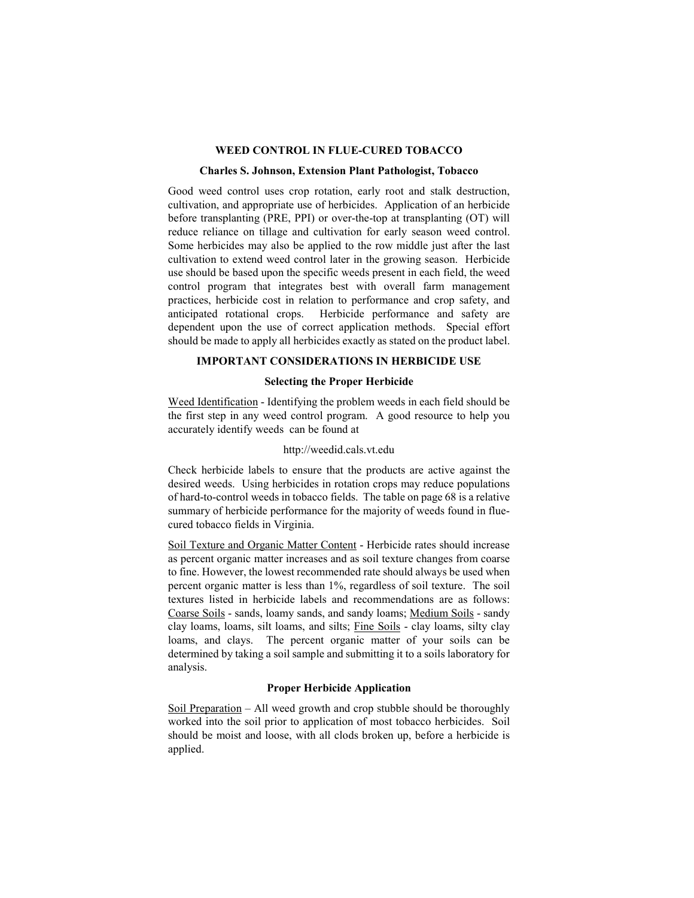### **WEED CONTROL IN FLUE-CURED TOBACCO**

#### **Charles S. Johnson, Extension Plant Pathologist, Tobacco**

Good weed control uses crop rotation, early root and stalk destruction, cultivation, and appropriate use of herbicides. Application of an herbicide before transplanting (PRE, PPI) or over-the-top at transplanting (OT) will reduce reliance on tillage and cultivation for early season weed control. Some herbicides may also be applied to the row middle just after the last cultivation to extend weed control later in the growing season. Herbicide use should be based upon the specific weeds present in each field, the weed control program that integrates best with overall farm management practices, herbicide cost in relation to performance and crop safety, and anticipated rotational crops. Herbicide performance and safety are dependent upon the use of correct application methods. Special effort should be made to apply all herbicides exactly as stated on the product label.

# **IMPORTANT CONSIDERATIONS IN HERBICIDE USE**

# **Selecting the Proper Herbicide**

Weed Identification - Identifying the problem weeds in each field should be the first step in any weed control program. A good resource to help you accurately identify weeds can be found at

## http://weedid.cals.vt.edu

Check herbicide labels to ensure that the products are active against the desired weeds. Using herbicides in rotation crops may reduce populations of hard-to-control weeds in tobacco fields. The table on page 68 is a relative summary of herbicide performance for the majority of weeds found in fluecured tobacco fields in Virginia.

Soil Texture and Organic Matter Content - Herbicide rates should increase as percent organic matter increases and as soil texture changes from coarse to fine. However, the lowest recommended rate should always be used when percent organic matter is less than 1%, regardless of soil texture. The soil textures listed in herbicide labels and recommendations are as follows: Coarse Soils - sands, loamy sands, and sandy loams; Medium Soils - sandy clay loams, loams, silt loams, and silts; Fine Soils - clay loams, silty clay loams, and clays. The percent organic matter of your soils can be determined by taking a soil sample and submitting it to a soils laboratory for analysis.

#### **Proper Herbicide Application**

Soil Preparation – All weed growth and crop stubble should be thoroughly worked into the soil prior to application of most tobacco herbicides. Soil should be moist and loose, with all clods broken up, before a herbicide is applied.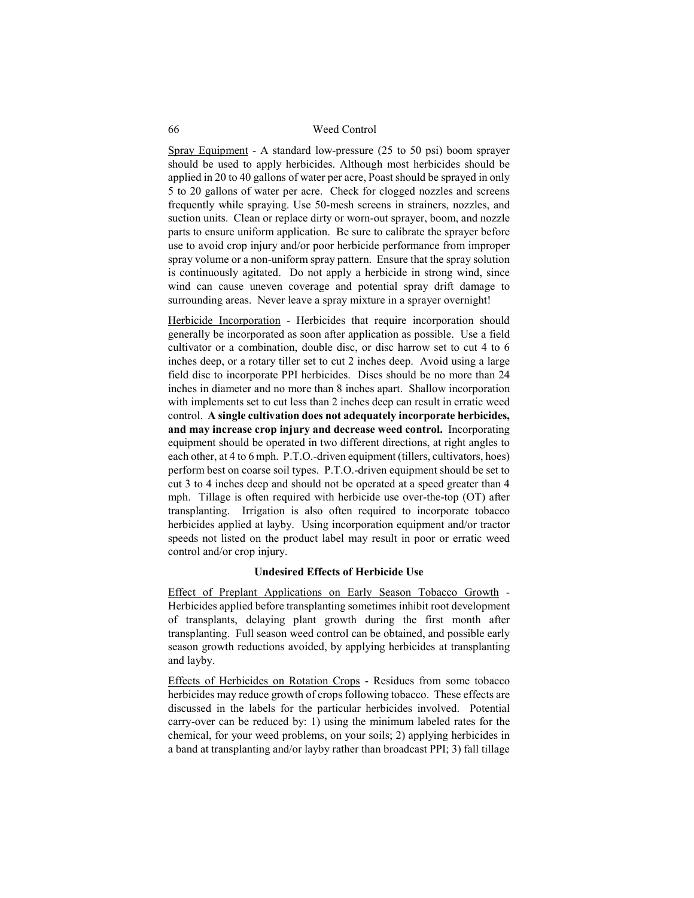Spray Equipment - A standard low-pressure (25 to 50 psi) boom sprayer should be used to apply herbicides. Although most herbicides should be applied in 20 to 40 gallons of water per acre, Poast should be sprayed in only 5 to 20 gallons of water per acre. Check for clogged nozzles and screens frequently while spraying. Use 50-mesh screens in strainers, nozzles, and suction units. Clean or replace dirty or worn-out sprayer, boom, and nozzle parts to ensure uniform application. Be sure to calibrate the sprayer before use to avoid crop injury and/or poor herbicide performance from improper spray volume or a non-uniform spray pattern. Ensure that the spray solution is continuously agitated. Do not apply a herbicide in strong wind, since wind can cause uneven coverage and potential spray drift damage to surrounding areas. Never leave a spray mixture in a sprayer overnight!

Herbicide Incorporation - Herbicides that require incorporation should generally be incorporated as soon after application as possible. Use a field cultivator or a combination, double disc, or disc harrow set to cut 4 to 6 inches deep, or a rotary tiller set to cut 2 inches deep. Avoid using a large field disc to incorporate PPI herbicides. Discs should be no more than 24 inches in diameter and no more than 8 inches apart. Shallow incorporation with implements set to cut less than 2 inches deep can result in erratic weed control. **A single cultivation does not adequately incorporate herbicides, and may increase crop injury and decrease weed control.** Incorporating equipment should be operated in two different directions, at right angles to each other, at 4 to 6 mph. P.T.O.-driven equipment (tillers, cultivators, hoes) perform best on coarse soil types. P.T.O.-driven equipment should be set to cut 3 to 4 inches deep and should not be operated at a speed greater than 4 mph. Tillage is often required with herbicide use over-the-top (OT) after transplanting. Irrigation is also often required to incorporate tobacco herbicides applied at layby. Using incorporation equipment and/or tractor speeds not listed on the product label may result in poor or erratic weed control and/or crop injury.

### **Undesired Effects of Herbicide Use**

Effect of Preplant Applications on Early Season Tobacco Growth - Herbicides applied before transplanting sometimes inhibit root development of transplants, delaying plant growth during the first month after transplanting. Full season weed control can be obtained, and possible early season growth reductions avoided, by applying herbicides at transplanting and layby.

Effects of Herbicides on Rotation Crops - Residues from some tobacco herbicides may reduce growth of crops following tobacco. These effects are discussed in the labels for the particular herbicides involved. Potential carry-over can be reduced by: 1) using the minimum labeled rates for the chemical, for your weed problems, on your soils; 2) applying herbicides in a band at transplanting and/or layby rather than broadcast PPI; 3) fall tillage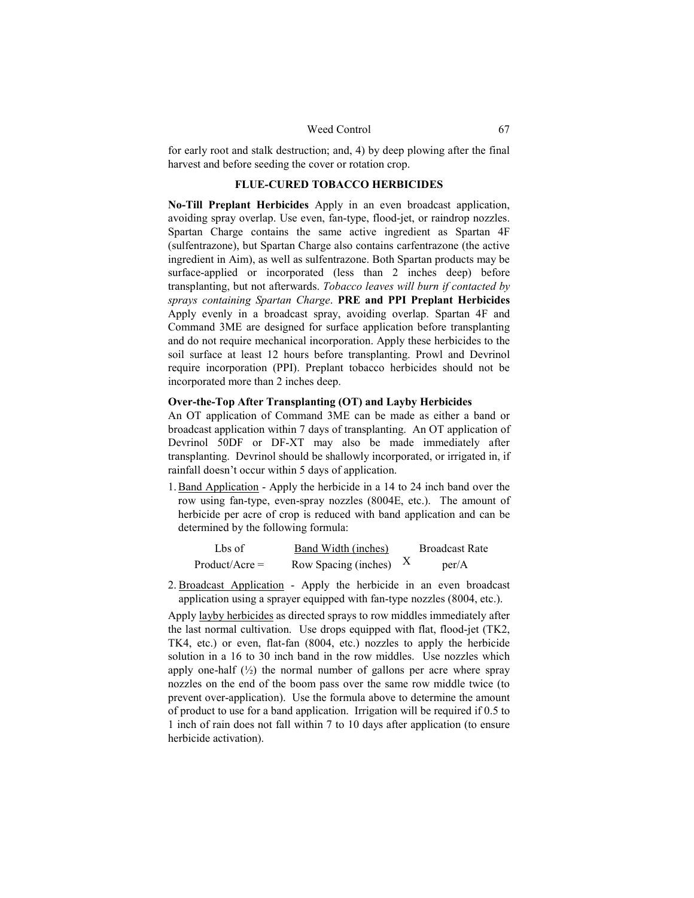for early root and stalk destruction; and, 4) by deep plowing after the final harvest and before seeding the cover or rotation crop.

# **FLUE-CURED TOBACCO HERBICIDES**

**No-Till Preplant Herbicides** Apply in an even broadcast application, avoiding spray overlap. Use even, fan-type, flood-jet, or raindrop nozzles. Spartan Charge contains the same active ingredient as Spartan 4F (sulfentrazone), but Spartan Charge also contains carfentrazone (the active ingredient in Aim), as well as sulfentrazone. Both Spartan products may be surface-applied or incorporated (less than 2 inches deep) before transplanting, but not afterwards. *Tobacco leaves will burn if contacted by sprays containing Spartan Charge*. **PRE and PPI Preplant Herbicides**  Apply evenly in a broadcast spray, avoiding overlap. Spartan 4F and Command 3ME are designed for surface application before transplanting and do not require mechanical incorporation. Apply these herbicides to the soil surface at least 12 hours before transplanting. Prowl and Devrinol require incorporation (PPI). Preplant tobacco herbicides should not be incorporated more than 2 inches deep.

#### **Over-the-Top After Transplanting (OT) and Layby Herbicides**

An OT application of Command 3ME can be made as either a band or broadcast application within 7 days of transplanting. An OT application of Devrinol 50DF or DF-XT may also be made immediately after transplanting. Devrinol should be shallowly incorporated, or irrigated in, if rainfall doesn't occur within 5 days of application.

1.Band Application - Apply the herbicide in a 14 to 24 inch band over the row using fan-type, even-spray nozzles (8004E, etc.). The amount of herbicide per acre of crop is reduced with band application and can be determined by the following formula:

| Lbs of           | Band Width (inches)  | <b>Broadcast Rate</b> |
|------------------|----------------------|-----------------------|
| $Product/Acre =$ | Row Spacing (inches) | per/A                 |

2. Broadcast Application - Apply the herbicide in an even broadcast application using a sprayer equipped with fan-type nozzles (8004, etc.).

Apply layby herbicides as directed sprays to row middles immediately after the last normal cultivation. Use drops equipped with flat, flood-jet (TK2, TK4, etc.) or even, flat-fan (8004, etc.) nozzles to apply the herbicide solution in a 16 to 30 inch band in the row middles. Use nozzles which apply one-half  $(\frac{1}{2})$  the normal number of gallons per acre where spray nozzles on the end of the boom pass over the same row middle twice (to prevent over-application). Use the formula above to determine the amount of product to use for a band application. Irrigation will be required if 0.5 to 1 inch of rain does not fall within 7 to 10 days after application (to ensure herbicide activation).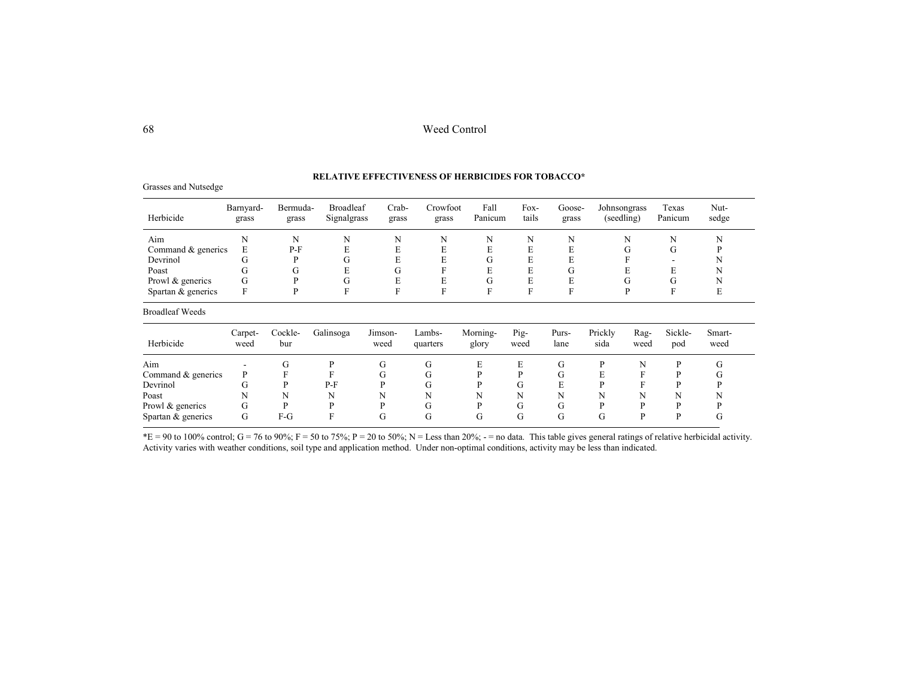### **RELATIVE EFFECTIVENESS OF HERBICIDES FOR TOBACCO\***

| Herbicide              | Barnyard-<br>grass | Bermuda-<br>grass | <b>Broadleaf</b><br>Signalgrass | Crab-<br>grass  | Crowfoot<br>grass  | Fall<br>Panicum   | Fox-<br>tails | Goose-<br>grass | Johnsongrass<br>(seedling) |              | Texas<br>Panicum | Nut-<br>sedge  |
|------------------------|--------------------|-------------------|---------------------------------|-----------------|--------------------|-------------------|---------------|-----------------|----------------------------|--------------|------------------|----------------|
| Aim                    | N                  | N                 | N                               | N               | N                  | N                 | N             | N               |                            | N            | N                | N              |
| Command & generics     | E                  | $P-F$             | E                               | E               | E                  | E                 | E             | E               |                            | G            | G                | P              |
| Devrinol               | G                  | P                 | G                               | E               | E                  | G                 | E             | E               |                            |              |                  | N              |
| Poast                  | G                  | G                 | E                               | G               | F                  | E                 | E             | G               |                            | E            | E                | N              |
| Prowl & generics       | G                  | P                 | G                               | E               | E                  | G                 | E             | E               |                            | G            | G                | N              |
| Spartan & generics     | F                  | P                 | F                               | F               | F                  | F                 | F             | F               |                            | P            | F                | E              |
| <b>Broadleaf Weeds</b> |                    |                   |                                 |                 |                    |                   |               |                 |                            |              |                  |                |
| Herbicide              | Carpet-<br>weed    | Cockle-<br>bur    | Galinsoga                       | Jimson-<br>weed | Lambs-<br>quarters | Morning-<br>glory | Pig-<br>weed  | Purs-<br>lane   | Prickly<br>sida            | Rag-<br>weed | Sickle-<br>pod   | Smart-<br>weed |
| Aim                    | ۰                  | G                 | P                               | G               | G                  | E                 | E             | G               | P                          | N            | P                | G              |
| Command & generics     | P                  | F                 | F                               | G               | G                  | P                 | P             | G               | E                          | F            | P                | G              |
| Devrinol               | G                  | P                 | $P-F$                           | P               | G                  | P                 | G             | E               | P                          |              | P                | P              |
| Poast                  | N                  | N                 | N                               | N               | N                  | N                 | N             | N               | N                          | N            | N                | N              |
| Prowl & generics       | G                  | P                 | P                               | P               | G                  | P                 | G             | G               | P                          | D            | P                | P              |
| Spartan & generics     | G                  | $F-G$             | F                               | G               | G                  | G                 | G             | G               | G                          | D            | P                | G              |

 $E = 90$  to 100% control; G = 76 to 90%; F = 50 to 75%; P = 20 to 50%; N = Less than 20%; - = no data. This table gives general ratings of relative herbicidal activity. Activity varies with weather conditions, soil type and application method. Under non-optimal conditions, activity may be less than indicated.

Grasses and Nutsedge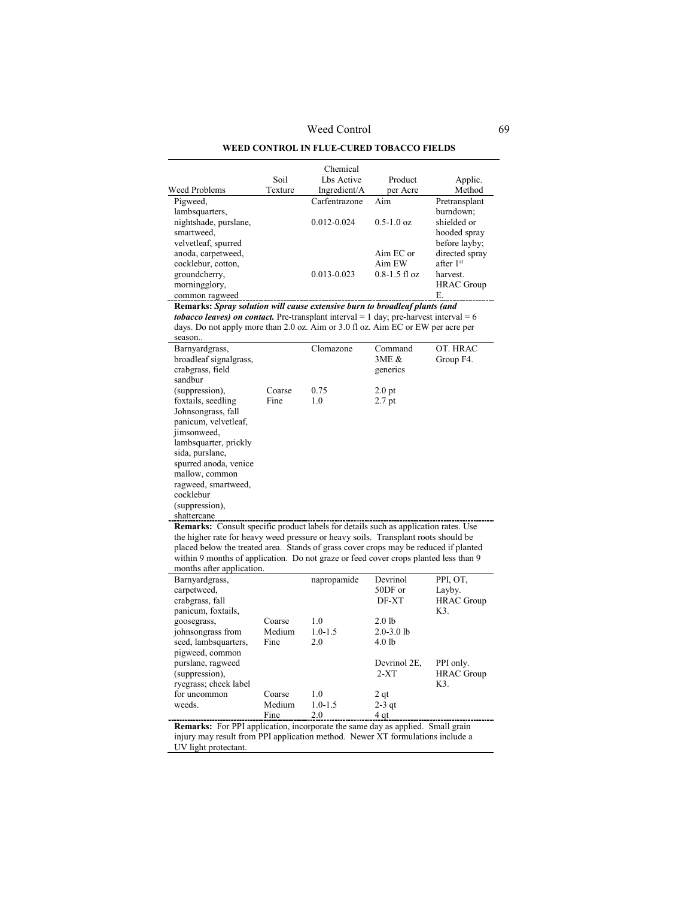### **WEED CONTROL IN FLUE-CURED TOBACCO FIELDS**

|                       |         | Chemical        |                   |                       |
|-----------------------|---------|-----------------|-------------------|-----------------------|
|                       | Soil    | Lbs Active      | Product           | Applic.               |
| Weed Problems         | Texture | Ingredient/A    | per Acre          | Method                |
| Pigweed,              |         | Carfentrazone   | Aim               | Pretransplant         |
| lambsquarters,        |         |                 |                   | burndown:             |
| nightshade, purslane, |         | $0.012 - 0.024$ | $0.5 - 1.0$ oz    | shielded or           |
| smartweed,            |         |                 |                   | hooded spray          |
| velvetleaf, spurred   |         |                 |                   | before layby;         |
| anoda, carpetweed,    |         |                 | Aim EC or         | directed spray        |
| cocklebur, cotton,    |         |                 | Aim EW            | after 1 <sup>st</sup> |
| groundcherry,         |         | $0.013 - 0.023$ | $0.8 - 1.5$ fl oz | harvest.              |
| morningglory,         |         |                 |                   | <b>HRAC</b> Group     |
| common ragweed        |         |                 |                   | E.                    |

**Remarks:** *Spray solution will cause extensive burn to broadleaf plants (and tobacco leaves) on contact.* Pre-transplant interval  $= 1$  day; pre-harvest interval  $= 6$ days. Do not apply more than 2.0 oz. Aim or 3.0 fl oz. Aim EC or EW per acre per season..

| Barnyardgrass,         |        | Clomazone | Command           | OT. HRAC  |
|------------------------|--------|-----------|-------------------|-----------|
| broadleaf signalgrass, |        |           | 3ME &             | Group F4. |
| crabgrass, field       |        |           | generics          |           |
| sandbur                |        |           |                   |           |
| (suppression),         | Coarse | 0.75      | 2.0 <sub>pt</sub> |           |
| foxtails, seedling     | Fine   | 1.0       | 2.7 <sub>pt</sub> |           |
| Johnsongrass, fall     |        |           |                   |           |
| panicum, velvetleaf,   |        |           |                   |           |
| jimsonweed,            |        |           |                   |           |
| lambsquarter, prickly  |        |           |                   |           |
| sida, purslane,        |        |           |                   |           |
| spurred anoda, venice  |        |           |                   |           |
| mallow, common         |        |           |                   |           |
| ragweed, smartweed,    |        |           |                   |           |
| cocklebur              |        |           |                   |           |
| (suppression),         |        |           |                   |           |
| shattercane            |        |           |                   |           |

**Remarks:** Consult specific product labels for details such as application rates. Use the higher rate for heavy weed pressure or heavy soils. Transplant roots should be placed below the treated area. Stands of grass cover crops may be reduced if planted within 9 months of application. Do not graze or feed cover crops planted less than 9 months after application.

| Barnyardgrass,        |        | napropamide | Devrinol       | PPI, OT,          |
|-----------------------|--------|-------------|----------------|-------------------|
| carpetweed,           |        |             | 50DF or        | Layby.            |
| crabgrass, fall       |        |             | DF-XT          | <b>HRAC</b> Group |
| panicum, foxtails,    |        |             |                | K3.               |
| goosegrass,           | Coarse | 1.0         | $2.0$ lb       |                   |
| johnsongrass from     | Medium | $1.0 - 1.5$ | $2.0 - 3.0$ lb |                   |
| seed, lambsquarters,  | Fine   | 2.0         | $4.0$ lb       |                   |
| pigweed, common       |        |             |                |                   |
| purslane, ragweed     |        |             | Devrinol 2E,   | PPI only.         |
| (suppression),        |        |             | $2-XT$         | <b>HRAC</b> Group |
| ryegrass; check label |        |             |                | K3.               |
| for uncommon          | Coarse | 1.0         | 2gt            |                   |
| weeds.                | Medium | $1.0 - 1.5$ | $2-3$ qt       |                   |
|                       | Fine   | 2.0         | 4 qt           |                   |

**Remarks:** For PPI application, incorporate the same day as applied. Small grain injury may result from PPI application method. Newer XT formulations include a UV light protectant.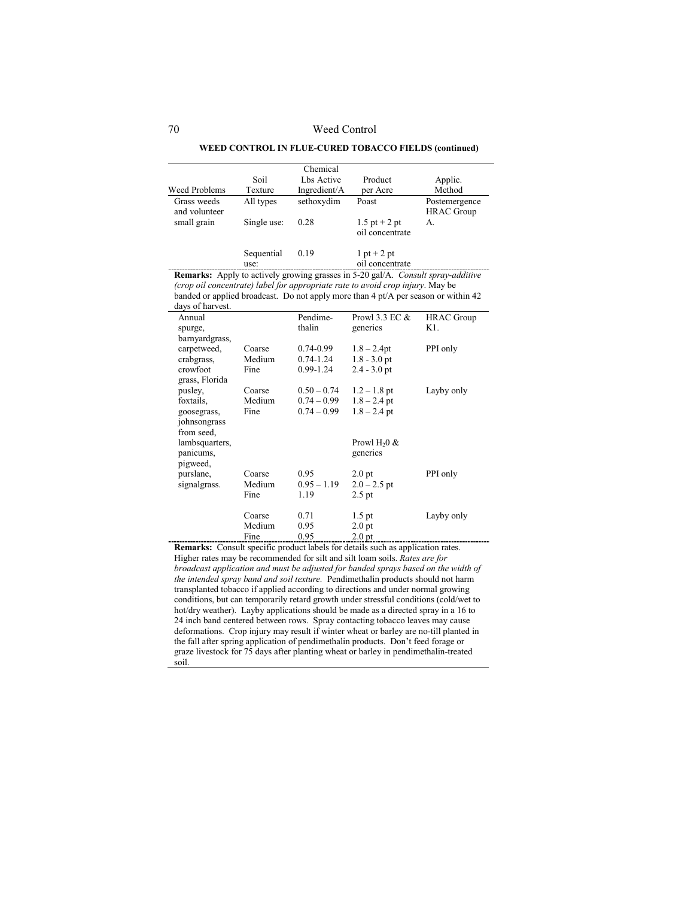#### **WEED CONTROL IN FLUE-CURED TOBACCO FIELDS (continued)**

|                              |                    | Chemical     |                                  |                                    |
|------------------------------|--------------------|--------------|----------------------------------|------------------------------------|
|                              | Soil               | Lbs Active   | Product                          | Applic.                            |
| Weed Problems                | Texture            | Ingredient/A | per Acre                         | Method                             |
| Grass weeds<br>and volunteer | All types          | sethoxydim   | Poast                            | Postemergence<br><b>HRAC</b> Group |
| small grain                  | Single use:        | 0.28         | 1.5 pt + 2 pt<br>oil concentrate | А.                                 |
|                              | Sequential<br>use: | 0.19         | $1$ pt + 2 pt<br>oil concentrate |                                    |

**Remarks:** Apply to actively growing grasses in 5-20 gal/A. *Consult spray-additive (crop oil concentrate) label for appropriate rate to avoid crop injury*. May be banded or applied broadcast. Do not apply more than 4 pt/A per season or within 42 days of harvest

| Annual         |        | Pendime-      | Prowl 3.3 EC $&$  | <b>HRAC</b> Group |
|----------------|--------|---------------|-------------------|-------------------|
| spurge,        |        | thalin        | generics          | K1.               |
| barnyardgrass, |        |               |                   |                   |
| carpetweed,    | Coarse | $0.74 - 0.99$ | $1.8 - 2.4$ pt    | PPI only          |
| crabgrass,     | Medium | $0.74 - 1.24$ | $1.8 - 3.0$ pt    |                   |
| crowfoot       | Fine   | 0.99-1.24     | $2.4 - 3.0$ pt    |                   |
| grass, Florida |        |               |                   |                   |
| pusley,        | Coarse | $0.50 - 0.74$ | $1.2 - 1.8$ pt    | Layby only        |
| foxtails,      | Medium | $0.74 - 0.99$ | $1.8 - 2.4$ pt    |                   |
| goosegrass,    | Fine   | $0.74 - 0.99$ | $1.8 - 2.4$ pt    |                   |
| johnsongrass   |        |               |                   |                   |
| from seed,     |        |               |                   |                   |
| lambsquarters, |        |               | Prowl $H20$ &     |                   |
| panicums,      |        |               | generics          |                   |
| pigweed,       |        |               |                   |                   |
| purslane,      | Coarse | 0.95          | 2.0 <sub>pt</sub> | PPI only          |
| signalgrass.   | Medium | $0.95 - 1.19$ | $2.0 - 2.5$ pt    |                   |
|                | Fine   | 1.19          | $2.5$ pt          |                   |
|                |        |               |                   |                   |
|                | Coarse | 0.71          | $1.5$ pt          | Layby only        |
|                | Medium | 0.95          | 2.0 <sub>pt</sub> |                   |
|                | Fine   | 0.95          | 2.0 <sub>pt</sub> |                   |

**Remarks:** Consult specific product labels for details such as application rates. Higher rates may be recommended for silt and silt loam soils. *Rates are for broadcast application and must be adjusted for banded sprays based on the width of the intended spray band and soil texture.* Pendimethalin products should not harm transplanted tobacco if applied according to directions and under normal growing conditions, but can temporarily retard growth under stressful conditions (cold/wet to hot/dry weather). Layby applications should be made as a directed spray in a 16 to 24 inch band centered between rows. Spray contacting tobacco leaves may cause deformations. Crop injury may result if winter wheat or barley are no-till planted in the fall after spring application of pendimethalin products. Don't feed forage or graze livestock for 75 days after planting wheat or barley in pendimethalin-treated soil.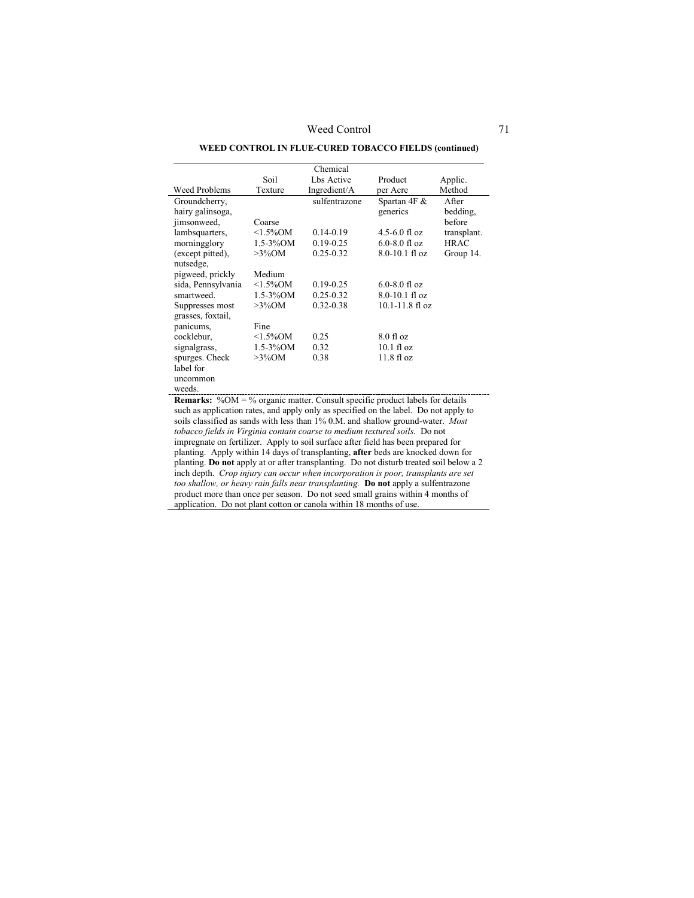# **WEED CONTROL IN FLUE-CURED TOBACCO FIELDS (continued)**

|                                                                                      |                | Chemical      |                          |                   |  |  |
|--------------------------------------------------------------------------------------|----------------|---------------|--------------------------|-------------------|--|--|
|                                                                                      | Soil           | Lbs Active    | Product                  | Applic.           |  |  |
| <b>Weed Problems</b>                                                                 | Texture        | Ingredient/A  | per Acre                 | Method            |  |  |
| Groundcherry,<br>hairy galinsoga,                                                    |                | sulfentrazone | Spartan 4F &<br>generics | After<br>bedding, |  |  |
| jimsonweed,                                                                          | Coarse         |               |                          | before            |  |  |
| lambsquarters,                                                                       | $<1.5\%$ OM    | $0.14 - 0.19$ | $4.5 - 6.0$ fl oz        | transplant.       |  |  |
| morningglory                                                                         | $1.5 - 3\%$ OM | $0.19 - 0.25$ | $6.0 - 8.0$ fl oz        | <b>HRAC</b>       |  |  |
| (except pitted),<br>nutsedge,                                                        | $>3\%$ OM      | $0.25 - 0.32$ | $8.0 - 10.1$ fl oz       | Group 14.         |  |  |
| pigweed, prickly                                                                     | Medium         |               |                          |                   |  |  |
| sida, Pennsylvania                                                                   | $<1.5\%$ OM    | $0.19 - 0.25$ | $6.0 - 8.0$ fl oz        |                   |  |  |
| smartweed.                                                                           | $1.5 - 3\%$ OM | $0.25 - 0.32$ | $8.0 - 10.1$ fl oz       |                   |  |  |
| Suppresses most<br>grasses, foxtail,                                                 | $>3\%$ OM      | $0.32 - 0.38$ | $10.1 - 11.8$ fl oz      |                   |  |  |
| panicums,                                                                            | Fine           |               |                          |                   |  |  |
| cocklebur,                                                                           | $<1.5\%$ OM    | 0.25          | $8.0$ fl oz              |                   |  |  |
| signalgrass,                                                                         | $1.5 - 3\%$ OM | 0.32          | $10.1 \text{ fl oz}$     |                   |  |  |
| spurges. Check<br>label for                                                          | $>3\%$ OM      | 0.38          | $11.8 \text{ fl oz}$     |                   |  |  |
| uncommon<br>weeds.                                                                   |                |               |                          |                   |  |  |
| <b>Remarks:</b> %OM = % organic matter. Consult specific product labels for details  |                |               |                          |                   |  |  |
| such as application rates, and apply only as specified on the label. Do not apply to |                |               |                          |                   |  |  |

soils classified as sands with less than 1% 0.M. and shallow ground-water. *Most tobacco fields in Virginia contain coarse to medium textured soils.* Do not impregnate on fertilizer. Apply to soil surface after field has been prepared for planting. Apply within 14 days of transplanting, **after** beds are knocked down for planting. **Do not** apply at or after transplanting. Do not disturb treated soil below a 2 inch depth. *Crop injury can occur when incorporation is poor, transplants are set too shallow, or heavy rain falls near transplanting.* **Do not** apply a sulfentrazone product more than once per season. Do not seed small grains within 4 months of application. Do not plant cotton or canola within 18 months of use.